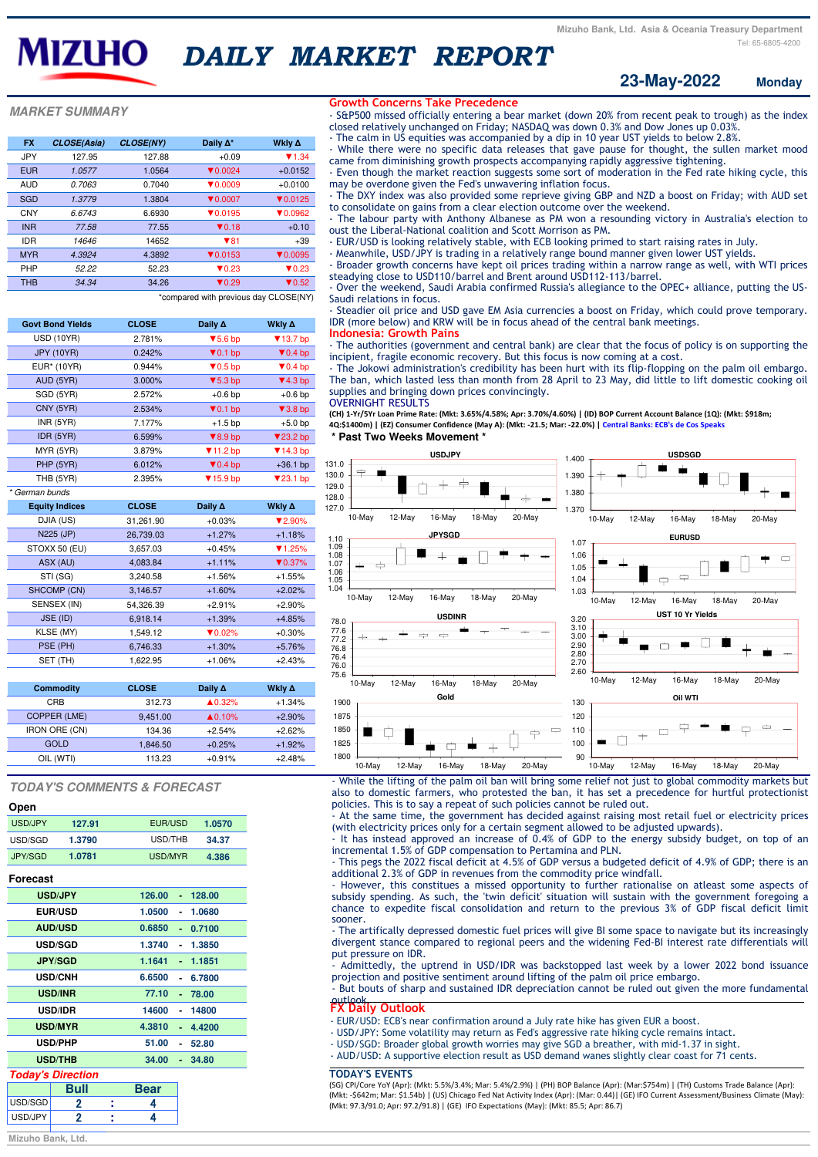**MARKET SUMMARY**

\*compared with previous day CLOSE(NY)

\* German bunds

#### **Monday 23-May-2022**

| <b>FX</b>  | <b>CLOSE(Asia)</b> | <b>CLOSE(NY)</b> | Daily $\Delta^*$            | Wkly ∆                      |
|------------|--------------------|------------------|-----------------------------|-----------------------------|
| <b>JPY</b> | 127.95             | 127.88           | $+0.09$                     | $\P$ 1.34                   |
| <b>EUR</b> | 1.0577             | 1.0564           | $\blacktriangledown$ 0.0024 | $+0.0152$                   |
| AUD        | 0.7063             | 0.7040           | $\blacktriangledown$ 0.0009 | $+0.0100$                   |
| <b>SGD</b> | 1.3779             | 1.3804           | $\blacktriangledown$ 0.0007 | $\nabla 0.0125$             |
| <b>CNY</b> | 6.6743             | 6.6930           | $\nabla 0.0195$             | $\blacktriangledown$ 0.0962 |
| <b>INR</b> | 77.58              | 77.55            | $\P$ 0.18                   | $+0.10$                     |
| <b>IDR</b> | 14646              | 14652            | $\P$ 81                     | $+39$                       |
| <b>MYR</b> | 4.3924             | 4.3892           | $\P$ 0.0153                 | $\nabla 0.0095$             |
| <b>PHP</b> | 52.22              | 52.23            | $\blacktriangledown$ 0.23   | $\blacktriangledown$ 0.23   |
| <b>THB</b> | 34.34              | 34.26            | $\blacktriangledown$ 0.29   | $\blacktriangledown$ 0.52   |
|            |                    |                  |                             |                             |

# **TODAY'S COMMENTS & FORECAST**

| Ohen    |      |
|---------|------|
| USD/JPY | 127. |
|         |      |

**Open**

| <b>Govt Bond Yields</b> | <b>CLOSE</b> | Daily A                      | Wkly ∆                       |
|-------------------------|--------------|------------------------------|------------------------------|
| <b>USD (10YR)</b>       | 2.781%       | $\blacktriangledown$ 5.6 bp  | $\blacktriangledown$ 13.7 bp |
| <b>JPY (10YR)</b>       | 0.242%       | $\blacktriangledown$ 0.1 bp  | $\blacktriangledown$ 0.4 bp  |
| EUR <sup>*</sup> (10YR) | 0.944%       | $\blacktriangledown$ 0.5 bp  | $\blacktriangledown$ 0.4 bp  |
| AUD (5YR)               | 3.000%       | $\blacktriangledown$ 5.3 bp  | $\P$ 4.3 bp                  |
| SGD (5YR)               | 2.572%       | $+0.6$ bp                    | $+0.6$ bp                    |
| CNY (5YR)               | 2.534%       | $\blacktriangledown$ 0.1 bp  | $\blacktriangledown$ 3.8 bp  |
| INR(5YR)                | 7.177%       | $+1.5$ bp                    | $+5.0$ bp                    |
| IDR (5YR)               | 6.599%       | $\blacktriangledown 8.9$ bp  | $\blacktriangledown$ 23.2 bp |
| MYR (5YR)               | 3.879%       | $\P$ 11.2 bp                 | $\P$ 14.3 bp                 |
| PHP (5YR)               | 6.012%       | $\blacktriangledown$ 0.4 bp  | $+36.1$ bp                   |
| THB (5YR)               | 2.395%       | $\blacktriangledown$ 15.9 bp | $\blacktriangledown$ 23.1 bp |
| $\cdots$                |              |                              |                              |

#### **Forecast**

| <b>Equity Indices</b> | <b>CLOSE</b> | Daily $\Delta$              | Wkly ∆                      |
|-----------------------|--------------|-----------------------------|-----------------------------|
| DJIA (US)             | 31,261.90    | $+0.03%$                    | $\blacktriangledown$ 2.90%  |
| N225 (JP)             | 26,739.03    | $+1.27%$                    | $+1.18%$                    |
| STOXX 50 (EU)         | 3,657.03     | $+0.45%$                    | $\P$ 1.25%                  |
| ASX (AU)              | 4,083.84     | $+1.11%$                    | $\blacktriangledown 0.37\%$ |
| STI (SG)              | 3,240.58     | $+1.56%$                    | $+1.55%$                    |
| SHCOMP (CN)           | 3,146.57     | $+1.60%$                    | $+2.02%$                    |
| SENSEX (IN)           | 54,326.39    | $+2.91%$                    | $+2.90%$                    |
| JSE (ID)              | 6,918.14     | $+1.39%$                    | $+4.85%$                    |
| KLSE (MY)             | 1,549.12     | $\blacktriangledown 0.02\%$ | $+0.30%$                    |
| PSE (PH)              | 6,746.33     | $+1.30%$                    | $+5.76%$                    |
| SET (TH)              | 1,622.95     | $+1.06%$                    | $+2.43%$                    |

### **Today's Direction**

|         | Bull | <b>Bear</b> |  |
|---------|------|-------------|--|
| USD/SGD |      |             |  |
| USD/JPY |      |             |  |

**Mizuho Bank, Ltd.**

| <b>Commodity</b>     | <b>CLOSE</b> | Daily $\Delta$     | Wkly ∆   |
|----------------------|--------------|--------------------|----------|
| <b>CRB</b>           | 312.73       | $\triangle 0.32\%$ | $+1.34%$ |
| COPPER (LME)         | 9,451.00     | $\triangle 0.10\%$ | $+2.90%$ |
| <b>IRON ORE (CN)</b> | 134.36       | $+2.54%$           | $+2.62%$ |
| GOLD                 | 1,846.50     | $+0.25%$           | $+1.92%$ |
| OIL (WTI)            | 113.23       | $+0.91%$           | $+2.48%$ |

| USD/JPY  | 127.91 | EUR/USD | 1.0570 |
|----------|--------|---------|--------|
| USD/SGD. | 1.3790 | USD/THB | 34.37  |
| JPY/SGD  | 1.0781 | USD/MYR | 4.386  |

# *DAILY MARKET REPORT*

It has instead approved an increase of 0.4% of GDP to the energy subsidy budget, on top of an incremental 1.5% of GDP compensation to Pertamina and PLN.

| <b>USD/JPY</b> | 126.00<br>128.00<br>٠ |
|----------------|-----------------------|
| <b>EUR/USD</b> | 1.0500<br>1.0680<br>۰ |
| <b>AUD/USD</b> | 0.6850<br>0.7100<br>٠ |
| <b>USD/SGD</b> | 1.3740<br>1.3850      |
| <b>JPY/SGD</b> | 1.1641<br>1.1851      |
| <b>USD/CNH</b> | 6.6500<br>6.7800      |
| <b>USD/INR</b> | 77.10<br>78.00<br>ä   |
| <b>USD/IDR</b> | 14600<br>14800        |
| <b>USD/MYR</b> | 4.3810<br>4.4200      |
| <b>USD/PHP</b> | 51.00<br>52.80        |
| <b>USD/THB</b> | 34.00<br>34.80        |

#### **\* Past Two Weeks Movement \***



- While the lifting of the palm oil ban will bring some relief not just to global commodity markets but also to domestic farmers, who protested the ban, it has set a precedence for hurtful protectionist policies. This is to say a repeat of such policies cannot be ruled out.

- At the same time, the government has decided against raising most retail fuel or electricity prices (with electricity prices only for a certain segment allowed to be adjusted upwards).

- This pegs the 2022 fiscal deficit at 4.5% of GDP versus a budgeted deficit of 4.9% of GDP; there is an additional 2.3% of GDP in revenues from the commodity price windfall.

- However, this constitues a missed opportunity to further rationalise on atleast some aspects of subsidy spending. As such, the 'twin deficit' situation will sustain with the government foregoing a chance to expedite fiscal consolidation and return to the previous 3% of GDP fiscal deficit limit sooner.

- The artifically depressed domestic fuel prices will give BI some space to navigate but its increasingly divergent stance compared to regional peers and the widening Fed-BI interest rate differentials will put pressure on IDR.

- Admittedly, the uptrend in USD/IDR was backstopped last week by a lower 2022 bond issuance projection and positive sentiment around lifting of the palm oil price embargo.

- But bouts of sharp and sustained IDR depreciation cannot be ruled out given the more fundamental outlook. **FX Daily Outlook**

- EUR/USD: ECB's near confirmation around a July rate hike has given EUR a boost.

- USD/JPY: Some volatility may return as Fed's aggressive rate hiking cycle remains intact.
- USD/SGD: Broader global growth worries may give SGD a breather, with mid-1.37 in sight.
- AUD/USD: A supportive election result as USD demand wanes slightly clear coast for 71 cents.

# **TODAY'S EVENTS**

(SG) CPI/Core YoY (Apr): (Mkt: 5.5%/3.4%; Mar: 5.4%/2.9%) | (PH) BOP Balance (Apr): (Mar:\$754m) | (TH) Customs Trade Balance (Apr): (Mkt: -\$642m; Mar: \$1.54b) | (US) Chicago Fed Nat Activity Index (Apr): (Mar: 0.44)| (GE) IFO Current Assessment/Business Climate (May): (Mkt: 97.3/91.0; Apr: 97.2/91.8) | (GE) IFO Expectations (May): (Mkt: 85.5; Apr: 86.7)

### **Growth Concerns Take Precedence**

- S&P500 missed officially entering a bear market (down 20% from recent peak to trough) as the index closed relatively unchanged on Friday; NASDAQ was down 0.3% and Dow Jones up 0.03%.

- The calm in US equities was accompanied by a dip in 10 year UST yields to below 2.8%.
- While there were no specific data releases that gave pause for thought, the sullen market mood
- came from diminishing growth prospects accompanying rapidly aggressive tightening.

- Even though the market reaction suggests some sort of moderation in the Fed rate hiking cycle, this may be overdone given the Fed's unwavering inflation focus.

- The DXY index was also provided some reprieve giving GBP and NZD a boost on Friday; with AUD set to consolidate on gains from a clear election outcome over the weekend.

- The labour party with Anthony Albanese as PM won a resounding victory in Australia's election to oust the Liberal-National coalition and Scott Morrison as PM.

- EUR/USD is looking relatively stable, with ECB looking primed to start raising rates in July.
- Meanwhile, USD/JPY is trading in a relatively range bound manner given lower UST yields.

- Broader growth concerns have kept oil prices trading within a narrow range as well, with WTI prices steadying close to USD110/barrel and Brent around USD112-113/barrel.

- Over the weekend, Saudi Arabia confirmed Russia's allegiance to the OPEC+ alliance, putting the US-Saudi relations in focus.

- Steadier oil price and USD gave EM Asia currencies a boost on Friday, which could prove temporary. IDR (more below) and KRW will be in focus ahead of the central bank meetings.

# **Indonesia: Growth Pains**

- The authorities (government and central bank) are clear that the focus of policy is on supporting the incipient, fragile economic recovery. But this focus is now coming at a cost.

- The Jokowi administration's credibility has been hurt with its flip-flopping on the palm oil embargo. The ban, which lasted less than month from 28 April to 23 May, did little to lift domestic cooking oil supplies and bringing down prices convincingly.

OVERNIGHT RESULTS

**(CH) 1-Yr/5Yr Loan Prime Rate: (Mkt: 3.65%/4.58%; Apr: 3.70%/4.60%) | (ID) BOP Current Account Balance (1Q): (Mkt: \$918m; 4Q:\$1400m) | (EZ) Consumer Confidence (May A): (Mkt: -21.5; Mar: -22.0%) | Central Banks: ECB's de Cos Speaks**